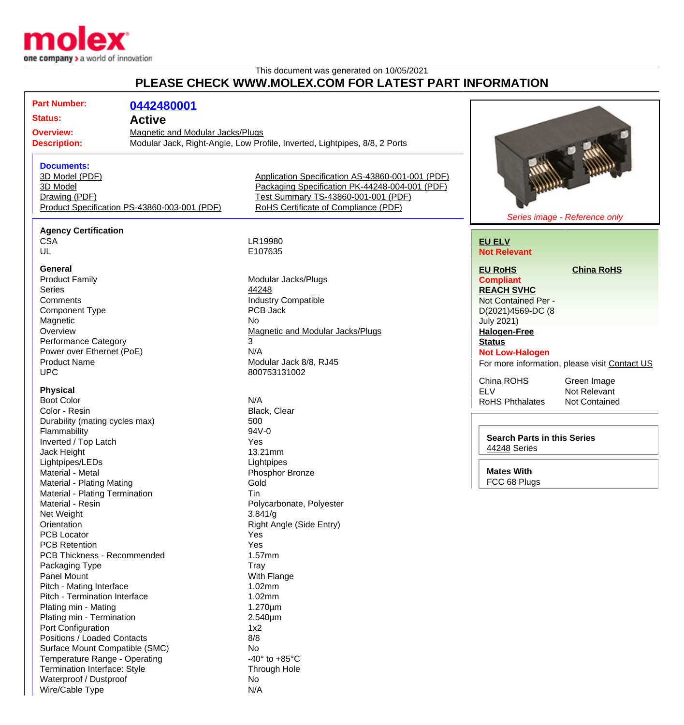

Termination Interface: Style Through Hole

Waterproof / Dustproof No Wire/Cable Type N/A

## This document was generated on 10/05/2021 **PLEASE CHECK WWW.MOLEX.COM FOR LATEST PART INFORMATION**

| <b>Part Number:</b>                                                                  | 0442480001                                                                                                                                                                 |                                                  |                                    |                                               |
|--------------------------------------------------------------------------------------|----------------------------------------------------------------------------------------------------------------------------------------------------------------------------|--------------------------------------------------|------------------------------------|-----------------------------------------------|
| <b>Status:</b>                                                                       |                                                                                                                                                                            |                                                  |                                    |                                               |
|                                                                                      | <b>Active</b><br>Magnetic and Modular Jacks/Plugs<br><b>Overview:</b><br>Modular Jack, Right-Angle, Low Profile, Inverted, Lightpipes, 8/8, 2 Ports<br><b>Description:</b> |                                                  |                                    |                                               |
|                                                                                      |                                                                                                                                                                            |                                                  |                                    |                                               |
|                                                                                      |                                                                                                                                                                            |                                                  |                                    |                                               |
| <b>Documents:</b>                                                                    |                                                                                                                                                                            |                                                  |                                    |                                               |
| 3D Model (PDF)                                                                       |                                                                                                                                                                            | Application Specification AS-43860-001-001 (PDF) |                                    |                                               |
| 3D Model                                                                             |                                                                                                                                                                            | Packaging Specification PK-44248-004-001 (PDF)   |                                    |                                               |
| Drawing (PDF)                                                                        |                                                                                                                                                                            | Test Summary TS-43860-001-001 (PDF)              |                                    |                                               |
| Product Specification PS-43860-003-001 (PDF)<br>RoHS Certificate of Compliance (PDF) |                                                                                                                                                                            |                                                  |                                    |                                               |
|                                                                                      |                                                                                                                                                                            |                                                  |                                    | Series image - Reference only                 |
| <b>Agency Certification</b>                                                          |                                                                                                                                                                            |                                                  |                                    |                                               |
| <b>CSA</b>                                                                           |                                                                                                                                                                            | LR19980                                          | <b>EU ELV</b>                      |                                               |
| UL                                                                                   |                                                                                                                                                                            | E107635                                          | <b>Not Relevant</b>                |                                               |
| <b>General</b>                                                                       |                                                                                                                                                                            |                                                  | <b>EU RoHS</b>                     | <b>China RoHS</b>                             |
| <b>Product Family</b>                                                                |                                                                                                                                                                            | Modular Jacks/Plugs                              | <b>Compliant</b>                   |                                               |
| <b>Series</b>                                                                        |                                                                                                                                                                            | 44248                                            | <b>REACH SVHC</b>                  |                                               |
| Comments                                                                             |                                                                                                                                                                            | <b>Industry Compatible</b>                       | Not Contained Per -                |                                               |
| <b>Component Type</b>                                                                |                                                                                                                                                                            | PCB Jack                                         | D(2021)4569-DC (8                  |                                               |
| Magnetic                                                                             |                                                                                                                                                                            | No                                               | <b>July 2021)</b>                  |                                               |
| Overview                                                                             |                                                                                                                                                                            | Magnetic and Modular Jacks/Plugs                 | <b>Halogen-Free</b>                |                                               |
| <b>Performance Category</b>                                                          |                                                                                                                                                                            | 3                                                | <b>Status</b>                      |                                               |
| Power over Ethernet (PoE)                                                            |                                                                                                                                                                            | N/A                                              | <b>Not Low-Halogen</b>             |                                               |
| <b>Product Name</b>                                                                  |                                                                                                                                                                            | Modular Jack 8/8, RJ45                           |                                    | For more information, please visit Contact US |
| <b>UPC</b>                                                                           |                                                                                                                                                                            | 800753131002                                     |                                    |                                               |
|                                                                                      |                                                                                                                                                                            |                                                  | China ROHS                         | Green Image                                   |
| <b>Physical</b>                                                                      |                                                                                                                                                                            |                                                  | <b>ELV</b>                         | Not Relevant                                  |
| <b>Boot Color</b>                                                                    |                                                                                                                                                                            | N/A                                              | <b>RoHS Phthalates</b>             | <b>Not Contained</b>                          |
| Color - Resin                                                                        |                                                                                                                                                                            | Black, Clear                                     |                                    |                                               |
| Durability (mating cycles max)                                                       |                                                                                                                                                                            | 500<br>94V-0                                     |                                    |                                               |
| Flammability                                                                         |                                                                                                                                                                            | Yes                                              | <b>Search Parts in this Series</b> |                                               |
| Inverted / Top Latch                                                                 |                                                                                                                                                                            | 13.21mm                                          | 44248 Series                       |                                               |
| Jack Height                                                                          |                                                                                                                                                                            |                                                  |                                    |                                               |
| Lightpipes/LEDs                                                                      |                                                                                                                                                                            | Lightpipes                                       | <b>Mates With</b>                  |                                               |
| Material - Metal<br>Material - Plating Mating                                        |                                                                                                                                                                            | Phosphor Bronze<br>Gold                          | FCC 68 Plugs                       |                                               |
| Material - Plating Termination                                                       |                                                                                                                                                                            | Tin                                              |                                    |                                               |
| Material - Resin                                                                     |                                                                                                                                                                            | Polycarbonate, Polyester                         |                                    |                                               |
| Net Weight                                                                           |                                                                                                                                                                            | 3.841/g                                          |                                    |                                               |
| Orientation                                                                          |                                                                                                                                                                            | Right Angle (Side Entry)                         |                                    |                                               |
| <b>PCB Locator</b>                                                                   |                                                                                                                                                                            | Yes                                              |                                    |                                               |
| <b>PCB Retention</b>                                                                 |                                                                                                                                                                            | Yes                                              |                                    |                                               |
| PCB Thickness - Recommended                                                          |                                                                                                                                                                            | 1.57mm                                           |                                    |                                               |
| Packaging Type                                                                       |                                                                                                                                                                            | Tray                                             |                                    |                                               |
| Panel Mount                                                                          |                                                                                                                                                                            | With Flange                                      |                                    |                                               |
| Pitch - Mating Interface                                                             |                                                                                                                                                                            | 1.02mm                                           |                                    |                                               |
| Pitch - Termination Interface                                                        |                                                                                                                                                                            | 1.02mm                                           |                                    |                                               |
| Plating min - Mating                                                                 |                                                                                                                                                                            | $1.270 \mu m$                                    |                                    |                                               |
| Plating min - Termination                                                            |                                                                                                                                                                            | $2.540 \mu m$                                    |                                    |                                               |
| Port Configuration                                                                   |                                                                                                                                                                            | 1x2                                              |                                    |                                               |
| Positions / Loaded Contacts                                                          |                                                                                                                                                                            | 8/8                                              |                                    |                                               |
| Surface Mount Compatible (SMC)                                                       |                                                                                                                                                                            | No                                               |                                    |                                               |
| Temperature Range - Operating                                                        |                                                                                                                                                                            | -40 $\degree$ to +85 $\degree$ C                 |                                    |                                               |
|                                                                                      |                                                                                                                                                                            |                                                  |                                    |                                               |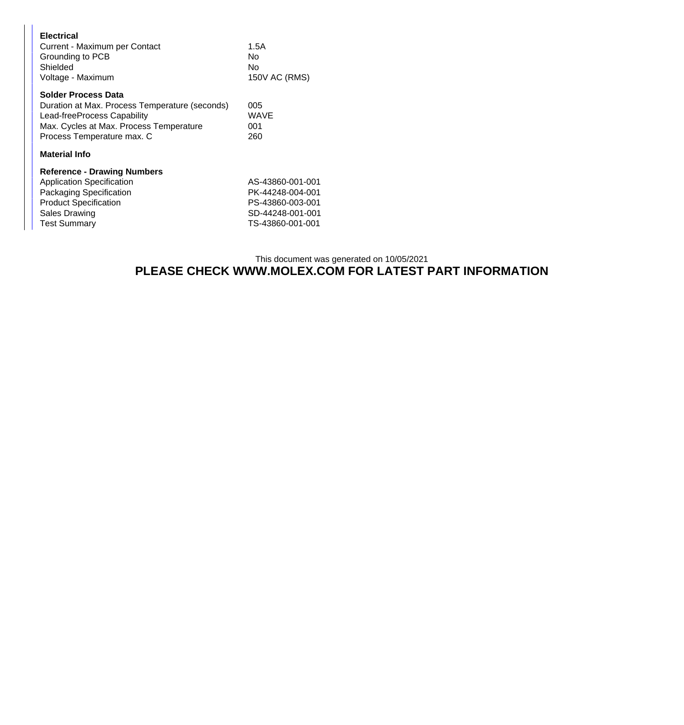| <b>Electrical</b><br>Current - Maximum per Contact<br>Grounding to PCB<br>Shielded                                                                                                   | 1.5A<br>No<br>No                                                                                 |
|--------------------------------------------------------------------------------------------------------------------------------------------------------------------------------------|--------------------------------------------------------------------------------------------------|
| Voltage - Maximum                                                                                                                                                                    | 150V AC (RMS)                                                                                    |
| <b>Solder Process Data</b><br>Duration at Max. Process Temperature (seconds)<br>Lead-freeProcess Capability<br>Max. Cycles at Max. Process Temperature<br>Process Temperature max. C | 005<br><b>WAVE</b><br>001<br>260                                                                 |
| <b>Material Info</b>                                                                                                                                                                 |                                                                                                  |
| <b>Reference - Drawing Numbers</b><br><b>Application Specification</b><br>Packaging Specification<br><b>Product Specification</b><br><b>Sales Drawing</b><br><b>Test Summary</b>     | AS-43860-001-001<br>PK-44248-004-001<br>PS-43860-003-001<br>SD-44248-001-001<br>TS-43860-001-001 |

## This document was generated on 10/05/2021 **PLEASE CHECK WWW.MOLEX.COM FOR LATEST PART INFORMATION**